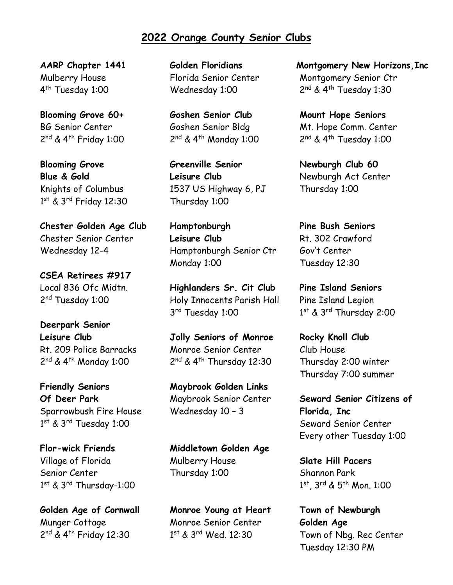## **2022 Orange County Senior Clubs**

**AARP Chapter 1441** Mulberry House 4<sup>th</sup> Tuesday 1:00

**Blooming Grove 60+** BG Senior Center 2<sup>nd</sup> & 4<sup>th</sup> Friday 1:00

**Blooming Grove Blue & Gold** Knights of Columbus 1 st & 3rd Friday 12:30

**Chester Golden Age Club** Chester Senior Center Wednesday 12-4

**CSEA Retirees #917** Local 836 Ofc Midtn. 2<sup>nd</sup> Tuesday 1:00

**Deerpark Senior Leisure Club** Rt. 209 Police Barracks 2<sup>nd</sup> & 4<sup>th</sup> Monday 1:00

**Friendly Seniors Of Deer Park** Sparrowbush Fire House 1 st & 3rd Tuesday 1:00

**Flor-wick Friends** Village of Florida Senior Center 1 st & 3rd Thursday-1:00

**Golden Age of Cornwall** Munger Cottage 2<sup>nd</sup> & 4<sup>th</sup> Friday 12:30

**Golden Floridians** Florida Senior Center Wednesday 1:00

**Goshen Senior Club** Goshen Senior Bldg 2<sup>nd</sup> & 4<sup>th</sup> Monday 1:00

**Greenville Senior Leisure Club** 1537 US Highway 6, PJ Thursday 1:00

**Hamptonburgh Leisure Club** Hamptonburgh Senior Ctr Monday 1:00

**Highlanders Sr. Cit Club** Holy Innocents Parish Hall 3 rd Tuesday 1:00

**Jolly Seniors of Monroe** Monroe Senior Center 2<sup>nd</sup> & 4<sup>th</sup> Thursday 12:30

**Maybrook Golden Links** Maybrook Senior Center Wednesday 10 – 3

**Middletown Golden Age** Mulberry House Thursday 1:00

**Monroe Young at Heart** Monroe Senior Center 1 st & 3rd Wed. 12:30

**Montgomery New Horizons,Inc** Montgomery Senior Ctr 2<sup>nd</sup> & 4<sup>th</sup> Tuesday 1:30

**Mount Hope Seniors** Mt. Hope Comm. Center 2<sup>nd</sup> & 4<sup>th</sup> Tuesday 1:00

**Newburgh Club 60** Newburgh Act Center Thursday 1:00

**Pine Bush Seniors** Rt. 302 Crawford Gov't Center Tuesday 12:30

**Pine Island Seniors** Pine Island Legion 1 st & 3rd Thursday 2:00

**Rocky Knoll Club** Club House Thursday 2:00 winter Thursday 7:00 summer

**Seward Senior Citizens of Florida, Inc** Seward Senior Center Every other Tuesday 1:00

**Slate Hill Pacers** Shannon Park 1 st, 3rd & 5th Mon. 1:00

**Town of Newburgh Golden Age** Town of Nbg. Rec Center Tuesday 12:30 PM